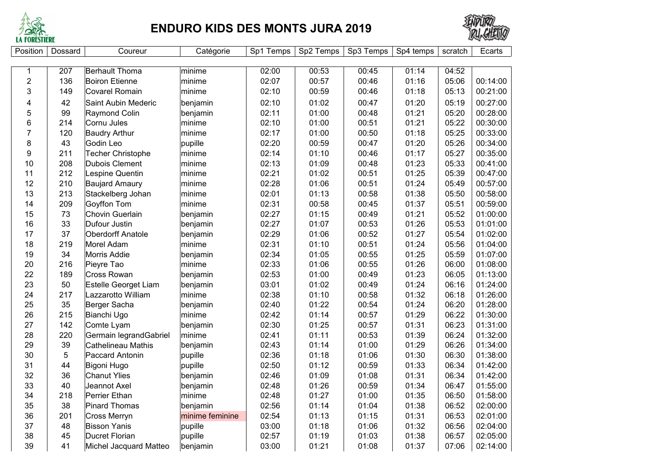

## **ENDURO KIDS DES MONTS JURA 2019**



| Position                | Dossard        | Coureur                   | Catégorie       | Sp1 Temps | Sp2 Temps | Sp3 Temps | Sp4 temps | scratch | Ecarts   |
|-------------------------|----------------|---------------------------|-----------------|-----------|-----------|-----------|-----------|---------|----------|
|                         |                |                           |                 |           |           |           |           |         |          |
| 1                       | 207            | Berhault Thoma            | minime          | 02:00     | 00:53     | 00:45     | 01:14     | 04:52   |          |
| $\overline{\mathbf{c}}$ | 136            | <b>Boiron Etienne</b>     | minime          | 02:07     | 00:57     | 00:46     | 01:16     | 05:06   | 00:14:00 |
| 3                       | 149            | <b>Covarel Romain</b>     | minime          | 02:10     | 00:59     | 00:46     | 01:18     | 05:13   | 00:21:00 |
| 4                       | 42             | Saint Aubin Mederic       | benjamin        | 02:10     | 01:02     | 00:47     | 01:20     | 05:19   | 00:27:00 |
| 5                       | 99             | Raymond Colin             | benjamin        | 02:11     | 01:00     | 00:48     | 01:21     | 05:20   | 00:28:00 |
| 6                       | 214            | Cornu Jules               | minime          | 02:10     | 01:00     | 00:51     | 01:21     | 05:22   | 00:30:00 |
| $\overline{7}$          | 120            | <b>Baudry Arthur</b>      | minime          | 02:17     | 01:00     | 00:50     | 01:18     | 05:25   | 00:33:00 |
| 8                       | 43             | Godin Leo                 | pupille         | 02:20     | 00:59     | 00:47     | 01:20     | 05:26   | 00:34:00 |
| 9                       | 211            | Techer Christophe         | minime          | 02:14     | 01:10     | 00:46     | 01:17     | 05:27   | 00:35:00 |
| 10                      | 208            | Dubois Clement            | minime          | 02:13     | 01:09     | 00:48     | 01:23     | 05:33   | 00:41:00 |
| 11                      | 212            | Lespine Quentin           | minime          | 02:21     | 01:02     | 00:51     | 01:25     | 05:39   | 00:47:00 |
| 12                      | 210            | <b>Baujard Amaury</b>     | minime          | 02:28     | 01:06     | 00:51     | 01:24     | 05:49   | 00:57:00 |
| 13                      | 213            | Stackelberg Johan         | minime          | 02:01     | 01:13     | 00:58     | 01:38     | 05:50   | 00:58:00 |
| 14                      | 209            | Goyffon Tom               | minime          | 02:31     | 00:58     | 00:45     | 01:37     | 05:51   | 00:59:00 |
| 15                      | 73             | Chovin Guerlain           | benjamin        | 02:27     | 01:15     | 00:49     | 01:21     | 05:52   | 01:00:00 |
| 16                      | 33             | Dufour Justin             | benjamin        | 02:27     | 01:07     | 00:53     | 01:26     | 05:53   | 01:01:00 |
| 17                      | 37             | <b>Oberdorff Anatole</b>  | benjamin        | 02:29     | 01:06     | 00:52     | 01:27     | 05:54   | 01:02:00 |
| 18                      | 219            | Morel Adam                | minime          | 02:31     | 01:10     | 00:51     | 01:24     | 05:56   | 01:04:00 |
| 19                      | 34             | Morris Addie              | benjamin        | 02:34     | 01:05     | 00:55     | 01:25     | 05:59   | 01:07:00 |
| 20                      | 216            | Pieyre Tao                | minime          | 02:33     | 01:06     | 00:55     | 01:26     | 06:00   | 01:08:00 |
| 22                      | 189            | <b>Cross Rowan</b>        | benjamin        | 02:53     | 01:00     | 00:49     | 01:23     | 06:05   | 01:13:00 |
| 23                      | 50             | Estelle Georget Liam      | benjamin        | 03:01     | 01:02     | 00:49     | 01:24     | 06:16   | 01:24:00 |
| 24                      | 217            | Lazzarotto William        | minime          | 02:38     | 01:10     | 00:58     | 01:32     | 06:18   | 01:26:00 |
| 25                      | 35             | Berger Sacha              | benjamin        | 02:40     | 01:22     | 00:54     | 01:24     | 06:20   | 01:28:00 |
| 26                      | 215            | Bianchi Ugo               | minime          | 02:42     | 01:14     | 00:57     | 01:29     | 06:22   | 01:30:00 |
| 27                      | 142            | Comte Lyam                | benjamin        | 02:30     | 01:25     | 00:57     | 01:31     | 06:23   | 01:31:00 |
| 28                      | 220            | Germain legrandGabriel    | minime          | 02:41     | 01:11     | 00:53     | 01:39     | 06:24   | 01:32:00 |
| 29                      | 39             | <b>Cathelineau Mathis</b> | benjamin        | 02:43     | 01:14     | 01:00     | 01:29     | 06:26   | 01:34:00 |
| 30                      | $\overline{5}$ | Paccard Antonin           | pupille         | 02:36     | 01:18     | 01:06     | 01:30     | 06:30   | 01:38:00 |
| 31                      | 44             | Bigoni Hugo               | pupille         | 02:50     | 01:12     | 00:59     | 01:33     | 06:34   | 01:42:00 |
| 32                      | 36             | <b>Chanut Ylies</b>       | benjamin        | 02:46     | 01:09     | 01:08     | 01:31     | 06:34   | 01:42:00 |
| 33                      | 40             | Jeannot Axel              | benjamin        | 02:48     | 01:26     | 00:59     | 01:34     | 06:47   | 01:55:00 |
| 34                      | 218            | Perrier Ethan             | minime          | 02:48     | 01:27     | 01:00     | 01:35     | 06:50   | 01:58:00 |
| 35                      | 38             | Pinard Thomas             | benjamin        | 02:56     | 01:14     | 01:04     | 01:38     | 06:52   | 02:00:00 |
| 36                      | 201            | <b>Cross Merryn</b>       | minime feminine | 02:54     | 01:13     | 01:15     | 01:31     | 06:53   | 02:01:00 |
| 37                      | 48             | <b>Bisson Yanis</b>       | pupille         | 03:00     | 01:18     | 01:06     | 01:32     | 06:56   | 02:04:00 |
| 38                      | 45             | <b>Ducret Florian</b>     | pupille         | 02:57     | 01:19     | 01:03     | 01:38     | 06:57   | 02:05:00 |
| 39                      | 41             | Michel Jacquard Matteo    | benjamin        | 03:00     | 01:21     | 01:08     | 01:37     | 07:06   | 02:14:00 |